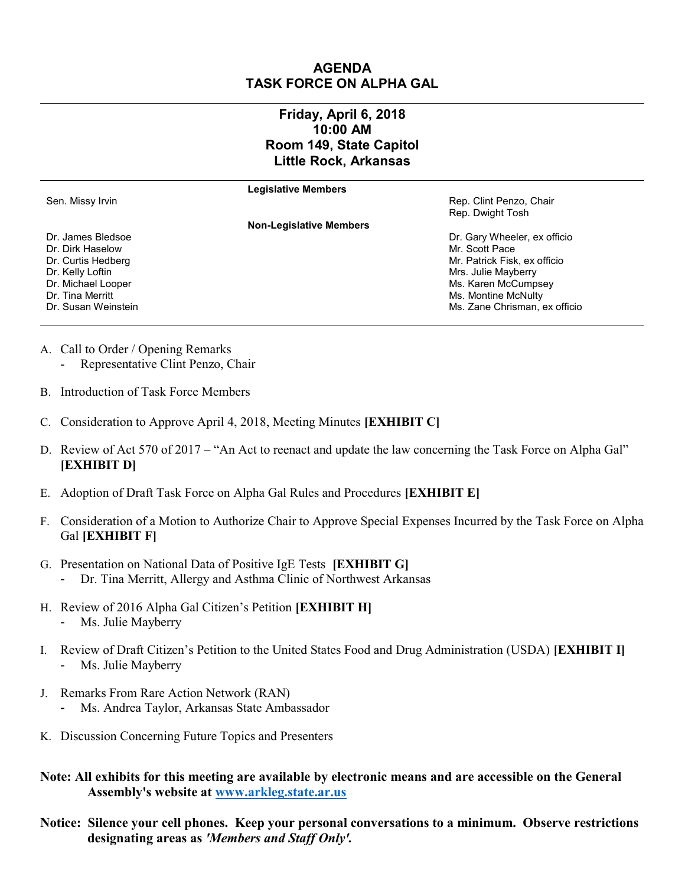## **AGENDA TASK FORCE ON ALPHA GAL**

## **Friday, April 6, 2018 10:00 AM Room 149, State Capitol Little Rock, Arkansas**

**Legislative Members**

**Non-Legislative Members**

Sen. Missy Irvin News, 2008. The Sen. Missy Irvin Rep. Clint Penzo, Chair Rep. Dwight Tosh

Dr. Curtis Hedberg Mr. Patrick Fisk, ex officio Dr. Kelly Loftin **Example 2** of the Mayberry Control of the Mrs. Julie Mayberry Mrs. Julie Mayberry Dr. Michael Looper **Material Looper** Controller Ms. Karen McCumpsey Dr. Tina Merritt **Music According to the Contract Oriental According Contract According McContract According McContract According McContract According McContract According McContract According McContract According McContra** Dr. Susan Weinstein Music and The Music and The Music Afficion Music Zane Chrisman, ex officion

- Dr. James Bledsoe Dr. Gary Wheeler, ex officio Dr. Dirk Haselow Mr. Scott Pace
- A. Call to Order / Opening Remarks
	- Representative Clint Penzo, Chair
- B. Introduction of Task Force Members
- C. Consideration to Approve April 4, 2018, Meeting Minutes **[EXHIBIT C]**
- D. Review of Act 570 of 2017 "An Act to reenact and update the law concerning the Task Force on Alpha Gal" **[EXHIBIT D]**
- E. Adoption of Draft Task Force on Alpha Gal Rules and Procedures **[EXHIBIT E]**
- F. Consideration of a Motion to Authorize Chair to Approve Special Expenses Incurred by the Task Force on Alpha Gal **[EXHIBIT F]**
- G. Presentation on National Data of Positive IgE Tests **[EXHIBIT G]**
	- Dr. Tina Merritt, Allergy and Asthma Clinic of Northwest Arkansas
- H. Review of 2016 Alpha Gal Citizen's Petition **[EXHIBIT H]** Ms. Julie Mayberry
- I. Review of Draft Citizen's Petition to the United States Food and Drug Administration (USDA) **[EXHIBIT I]**  Ms. Julie Mayberry
- J. Remarks From Rare Action Network (RAN)
	- Ms. Andrea Taylor, Arkansas State Ambassador
- K. Discussion Concerning Future Topics and Presenters
- **Note: All exhibits for this meeting are available by electronic means and are accessible on the General Assembly's website at [www.arkleg.state.ar.us](http://www.arkleg.state.ar.us)**
- **Notice: Silence your cell phones. Keep your personal conversations to a minimum. Observe restrictions designating areas as** *'Members and Staff Only'.*